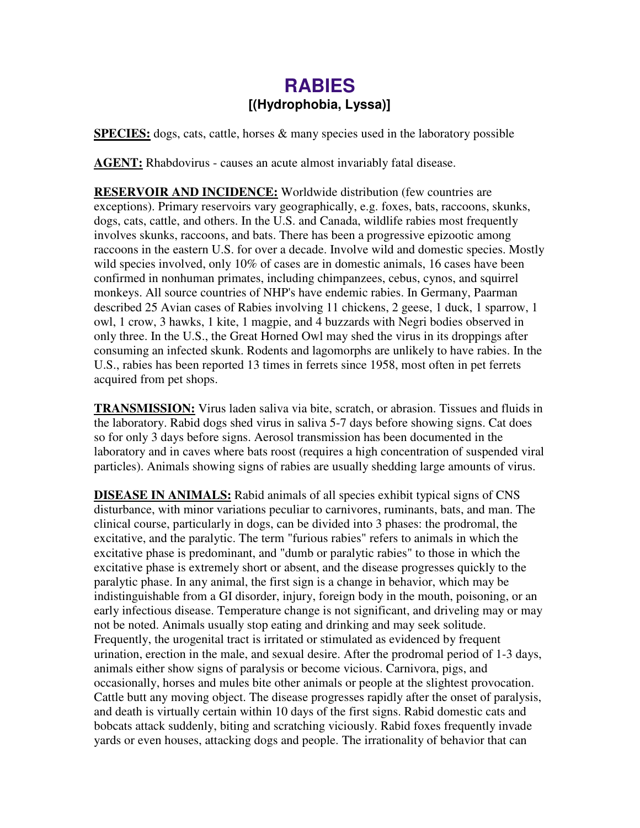## **RABIES [(Hydrophobia, Lyssa)]**

**SPECIES:** dogs, cats, cattle, horses & many species used in the laboratory possible

**AGENT:** Rhabdovirus - causes an acute almost invariably fatal disease.

**RESERVOIR AND INCIDENCE:** Worldwide distribution (few countries are exceptions). Primary reservoirs vary geographically, e.g. foxes, bats, raccoons, skunks, dogs, cats, cattle, and others. In the U.S. and Canada, wildlife rabies most frequently involves skunks, raccoons, and bats. There has been a progressive epizootic among raccoons in the eastern U.S. for over a decade. Involve wild and domestic species. Mostly wild species involved, only 10% of cases are in domestic animals, 16 cases have been confirmed in nonhuman primates, including chimpanzees, cebus, cynos, and squirrel monkeys. All source countries of NHP's have endemic rabies. In Germany, Paarman described 25 Avian cases of Rabies involving 11 chickens, 2 geese, 1 duck, 1 sparrow, 1 owl, 1 crow, 3 hawks, 1 kite, 1 magpie, and 4 buzzards with Negri bodies observed in only three. In the U.S., the Great Horned Owl may shed the virus in its droppings after consuming an infected skunk. Rodents and lagomorphs are unlikely to have rabies. In the U.S., rabies has been reported 13 times in ferrets since 1958, most often in pet ferrets acquired from pet shops.

**TRANSMISSION:** Virus laden saliva via bite, scratch, or abrasion. Tissues and fluids in the laboratory. Rabid dogs shed virus in saliva 5-7 days before showing signs. Cat does so for only 3 days before signs. Aerosol transmission has been documented in the laboratory and in caves where bats roost (requires a high concentration of suspended viral particles). Animals showing signs of rabies are usually shedding large amounts of virus.

**DISEASE IN ANIMALS:** Rabid animals of all species exhibit typical signs of CNS disturbance, with minor variations peculiar to carnivores, ruminants, bats, and man. The clinical course, particularly in dogs, can be divided into 3 phases: the prodromal, the excitative, and the paralytic. The term "furious rabies" refers to animals in which the excitative phase is predominant, and "dumb or paralytic rabies" to those in which the excitative phase is extremely short or absent, and the disease progresses quickly to the paralytic phase. In any animal, the first sign is a change in behavior, which may be indistinguishable from a GI disorder, injury, foreign body in the mouth, poisoning, or an early infectious disease. Temperature change is not significant, and driveling may or may not be noted. Animals usually stop eating and drinking and may seek solitude. Frequently, the urogenital tract is irritated or stimulated as evidenced by frequent urination, erection in the male, and sexual desire. After the prodromal period of 1-3 days, animals either show signs of paralysis or become vicious. Carnivora, pigs, and occasionally, horses and mules bite other animals or people at the slightest provocation. Cattle butt any moving object. The disease progresses rapidly after the onset of paralysis, and death is virtually certain within 10 days of the first signs. Rabid domestic cats and bobcats attack suddenly, biting and scratching viciously. Rabid foxes frequently invade yards or even houses, attacking dogs and people. The irrationality of behavior that can